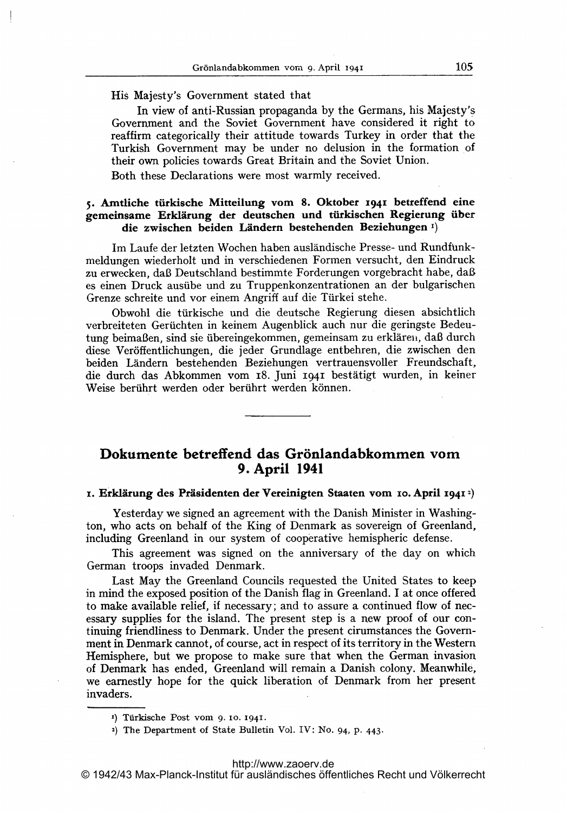His Majesty's Government stated that

In view of anti-Russian propaganda by the Germans, his Majesty's Government and the Soviet Government have considered it right to reaffirm categorically their attitude towards Turkey in order that the Turkish Government may be under no delusion in the formation of their own policies towards Great Britain and the Soviet Union.

Both these Declarations were most warmly received.

# 5. Amtliche türkische Mitteilung vom 8. Oktober 1941 betreffend eine gemeinsame Erklärung der deutschen und türkischen Regierung über die zwischen beiden Ländern bestehenden Beziehungen 1)

Im Laufe der letzten Wochen haben ausländische Presse- und Rundfunkmeldungen wiederholt und in verschiedenen Formen versucht, den Eindruck zu erwecken, daß Deutschland bestimmte Forderungen vorgebracht habe, daß es einen Druck ausübe und zu Truppenkonzentrationen an der bulgarischen Grenze schreite und vor einem Angriff auf die Türkei stehe.

Obwohl die türkische und die deutsche Regierung diesen absichtlich verbreiteten Gerüchten in keinem Augenblick auch nur die geringste Bedeutung beimaßen, sind sie übereingekommen, gemeinsam zu erklären, daß durch diese Veröffentlichungen, die jeder Grundlage entbehren, die zwischen den beiden Ländern bestehenden Beziehungen vertrauensvoller Freundschaft, die durch das Abkommen vom 18. Juni 1941 bestätigt wurden, in keiner Weise berührt werden oder berührt werden können.

# Dokumente betreffend das Grönlandabkommen vom 9. April 1941

#### x. Erklärung des Präsidenten der Vereinigten Staaten vom 10- APril 19411'

Yesterday we signed an agreement with the Danish Minister in Washington, who acts on behalf of the King of Denmark as sovereign of Greenland, including Greenland in our system of cooperative hemispheric defense.

This agreement was signed on the anniversary of the day on which German troops invaded Denmark.

Last May the Greenland Councils requested the United States to keep in mind the exposed position of the Danish flag in Greenland. <sup>I</sup> at once offered to make available relief, if necessary; and to assure a continued flow of necessary supplies for the island. The present step is a new proof of our continuing friendliness to Denmark. Under the present cirumstances the Government in Denmark cannot, of course, act in respect of its territory in the Western Hemisphere, but we propose to make sure that when the German invasion of Denmark has ended, Greenland will remain a Danish colony. Meanwhile, we earnestly hope for the quick liberation of Denmark from her present invaders.

<http://www.zaoerv.de>

© 1942/43 Max-Planck-Institut für ausländisches öffentliches Recht und Völkerrecht

<sup>1)</sup> Türkische Post vom 9. 10. 1941.

<sup>2)</sup> The Department of State Bulletin Vol. IV: No. 94, P. 443.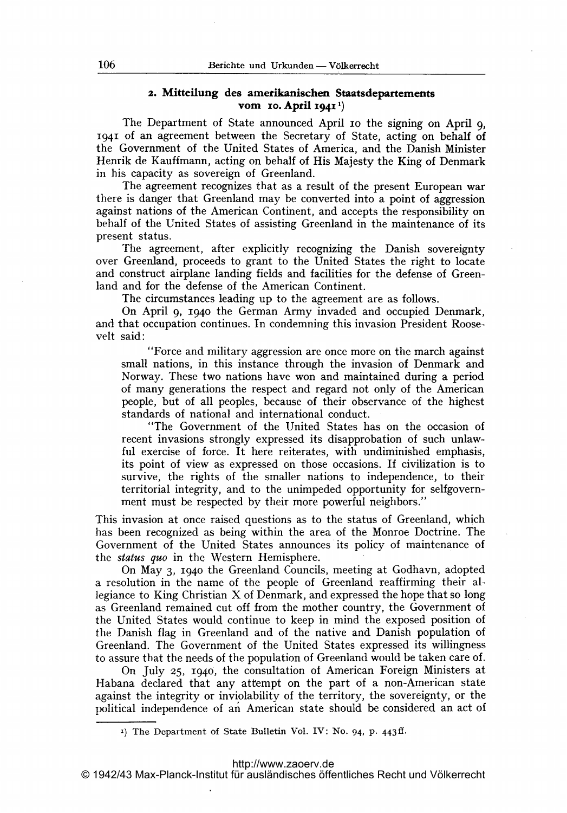# 2. Mitteilung des amerikanischen Staatsdepartements vom 10. April 1941<sup>1</sup>)

The Department of State announced April io the signing on April 9, 1941 of an agreement between the Secretary of State, acting on behalf of the Government of the United States of America, and the Danish Minister Henrik de Kauffmann, acting on behalf of His Majesty the King of Denmark in his capacity as sovereign of Greenland.

The agreement recognizes that as <sup>a</sup> result of the present European war there is danger that Greenland may be converted into <sup>a</sup> point of aggression against nations of the American Continent, and accepts the responsibility on behalf of the United States of assisting Greenland in the maintenance of its present status.

The agreement, after explicitly recognizing the Danish sovereignty over Greenland, proceeds to grant to the United States the right to locate and construct airplane landing fields and facilities for the defense of Greenland and for the defense of the American Continent.

The circumstances leading up to the agreement are as follows.

On April 9, <sup>1940</sup> the German Army invaded and occupied Denmark, and that occupation continues. In condemning this invasion President Roosevelt said:

"Force and military aggression are once more on the march against small nations, in this instance through the invasion of Denmark and Norway. These two nations have won and maintained during a period of many generations the respect and regard not only of the American people, but of all peoples, because of their observance of the highest standards of national and international conduct.

"The Government of the United States has on the occasion of recent invasions strongly expressed its disapprobation of such unlawful exercise of force. It here reiterates, with undiminished emphasis, its point of view as expressed on those occasions. If civilization is to survive, the rights of the smaller nations to independence, to their territorial integrity, and to the unimpeded opportunity for selfgovernment must be respected by their more powerful neighbors."

This invasion at once raised questions as to the status of Greenland, which has been recognized as being within the area of the Monroe Doctrine. The Government of the United States announces its policy of maintenance of the status quo in the Western Hemisphere.

On May 3, <sup>1940</sup> the Greenland Councils, meeting at Godhavn, adopted a resolution in the name of the people of Greenland reaffirming their allegiance to King Christian X of Denmark, and expressed the hope that so long as Greenland remained cut off from the mother country, the Government of the United States would continue to keep in mind the exposed position of the Danish flag in Greenland and of the native and Danish population of Greenland. The Government of the United States expressed its willingness to assure that the needs of the population of Greenland would be taken care of.

On July 25, 1940, the consultation of American Foreign Ministers at Habana declared that any attempt on the part of <sup>a</sup> non-American state against the integrity or inviolability of the territory, the sovereignty, or the political independence of an American state should be considered an act of

<http://www.zaoerv.de>

<sup>1)</sup> The Department of State Bulletin Vol. IV: No. 94, P. 443ff.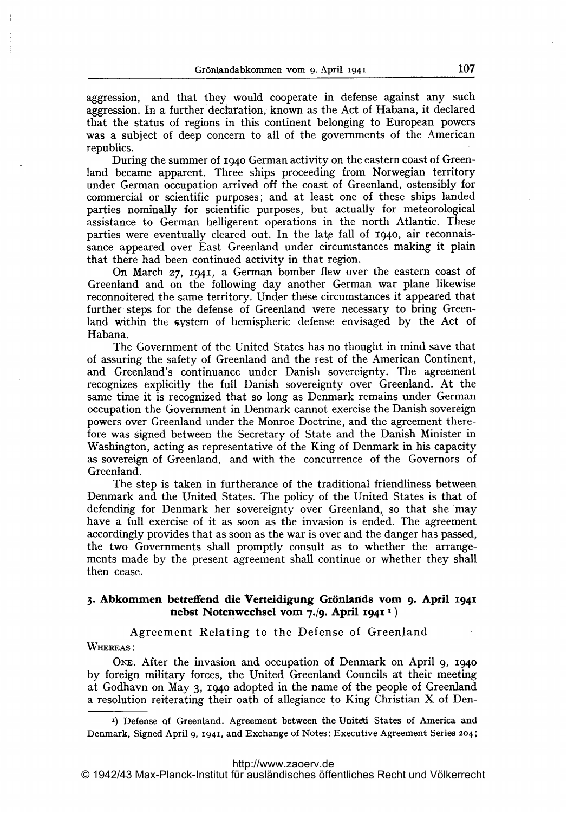aggression, and that they would cooperate in defense against any such aggression. In a further declaration; known as the Act of Habana, it declared that the status of regions in this continent belonging to European powers was a subject of deep concern to all of the governments of the American republics.

During the summer of 194o German activity on the eastern coast of Greenland became apparent. Three ships proceeding from Norwegian territory under German occupation arrived off the coast of Greenland, ostensibly for commercial or scientific purposes; and at least one of these ships landed parties nominally for scientific purposes, but actually for meteorological assistance to German belligerent operations in the north Atlantic. These parties were eventually cleared out. In the late fall of 1940, air reconnaissance appeared over East Greenland under circumstances making it plain that there had been continued activity in that region.

On March 27, 1941, <sup>a</sup> German bomber flew over the eastern coast of Greenland and on the following day another German war plane likewise reconnoitered the same territory. Under these circumstances it appeared that further steps for the defense of Greenland were necessary to bring Greenland within the system of hemispheric defense envisaged by the Act of Habana.

The Government of the United States has no thought in mind save that of assuring the safety of Greenland and the rest of the American Continent, and Greenland's continuance under Danish sovereignty. The agreement recognizes explicitly the full Danish sovereignty over Greenland. At the same time it is recognized that so long as Denmark remains under German occupation the Government in Denmark\* cannot exercise the Danish sovereign powers over Greenland under the Monroe Doctrine, and the agreement therefore was signed between the Secretary of State and the Danish Minister in Washington, acting as representative of the King of Denmark in his capacity as sovereign of Greenland, and with the concurrence of the Governors of Greenland.

The step is taken in furtherance of the traditional friendliness between Denmark and the United States. The policy of the United States is that of defending for Denmark her sovereignty over Greenland, so that she may have a full exercise of it as soon as the invasion is ended. The agreement accordingly provides that as soon as the war is over and the danger has passed, the two Governments shall promptly consult as to whether the arrange ments made by the present agreement shall continue or whether they shall then cease.

# 3. Abkommen betreffend die Verteidigung Grönlands vom 9. April 1941 nebst Notenwechsel vom 7./9. April 1941<sup>1</sup>)

Agreement Relating to the Defense of Greenland WHEREAS:

ONE. After the invasion and occupation of Denmark on April 9, 1940 by foreign military forces, the United Greenland Councils at their meeting at Godhavn on May 3, 194o adopted in the name of the people of Greenland <sup>a</sup> resolution reiterating their oath of allegiance to King Christian X of Den-

<sup>&</sup>lt;sup>1</sup>) Defense of Greenland. Agreement between the United States of America and Denmark, Signed April 9, 1941, and Exchange of Notes: Executive Agreement Series 204;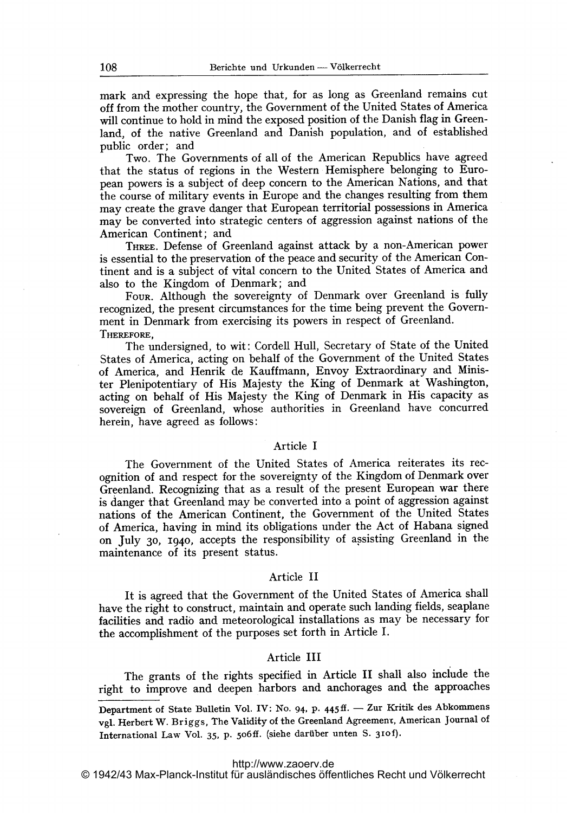mark and expressing the hope that, for as long as Greenland remains cut off from the mother country, the Government of the United States of America will continue to hold in mind the exposed position of the Danish flag in Greenland, of the native Greenland and Danish population, and of established public order; and

Two. The Governments of all of the American Republics have agreed that the status of regions in the Western Hemisphere belonging to European powers is a subject of deep concern to the American Nations, and that the course of military events in Europe and the changes resulting from them may create the grave danger that European territorial possessions in America may be converted into strategic centers of aggression against nations of the American Continent; and

THREE. Defense of Greenland against attack by a non-American power is essential to the preservation of the peace and security of the American Continent and is a subject of vital concern to the United States of America and also to the Kingdom of Denmark; and

FOUR. Although the sovereignty of Denmark over Greenland is fully recognized, the present circumstances for the time being prevent the Government in Denmark from exercising its powers in respect of Greenland. THEREFORE,

The undersigned, to wit: Cordell Hull, Secretary of State of the United States of America, acting on behalf of the Government of the United States of America, and Henrik de Kauffmann, Envoy Extraordinary and Minister Plenipotentiary of His Majesty the King of Denmark at Washington, acting on behalf of His Majesty the King of Denmark in His capacity as sovereign of Greenland, whose authorities in Greenland have concurred herein, have agreed as follows:

#### Article I

The Government of the United States of America reiterates its recognition of and respect for the sovereignty of the Kingdom of Denmark over Greenland. Recognizing that as <sup>a</sup> result of the present European war there is danger that Greenland may be converted into <sup>a</sup> point of aggression against nations of the American Continent, the Government of the United States of America, having in mind its obligations under the Act of Habana signed on July 30, 1940, accepts the responsibility of a§sisting Greenland in the maintenance of its present status.

#### Article 11

It is agreed that the Government of the United States of America shall have the right to construct, maintain and operate such landing fields, seaplane facilities and radio and meteorological installations as may be necessary for the accomplishment of the purposes set forth in Article 1.

# Article III

The grants of the rights specified in Article <sup>11</sup> shall also include the right to improve and deepen harbors and anchorages and the approaches

Department of State Bulletin Vol. IV: No. 94, p. 445ff. - Zur Kritik des Abkommens vgl. Herbert W. Briggs, The Validity of the Greenland Agreement, American Journal of International Law Vol. 35, P. 5o6ff. (siehe darfiber unten S. 310f).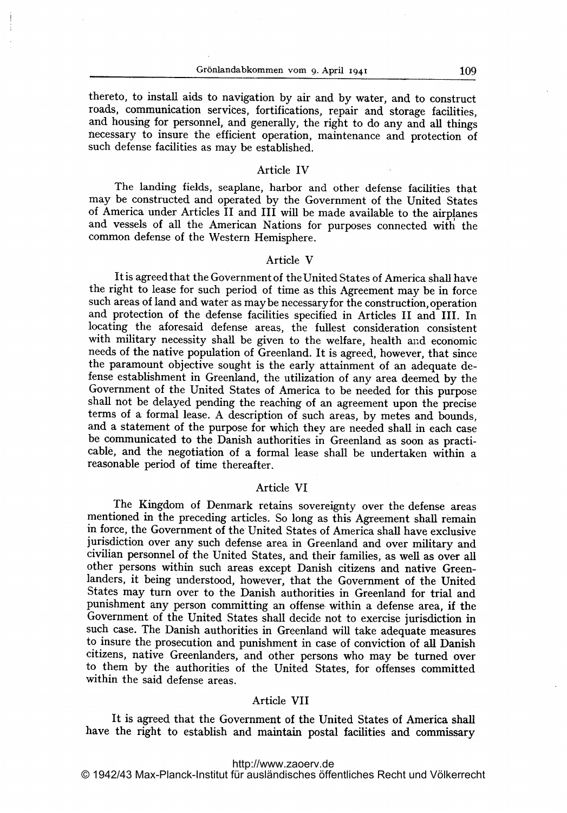thereto, to install aids to navigation by air and by water, and to construct and housing for personnel, and generally, the right to do any and all things necessary to insure the efficient operation, maintenance and protection of such defense facilities as may be established.

#### Article IV

The landing fields, seaplane, harbor and other defense facilities that may be constructed and operated by the Government of the United States of America under Articles II and III will be made available to the airplanes and vessels of all the American Nations for purposes connected with the common defense of the Western Hemisphere.

#### Article V

It is agreed that the Government of the United States of America shall have the right to lease for such period of time as this Agreement may be in force such areas of land and water as may be necessary for the construction, operation and protection of the defense facilities specified in Articles II and III. In locating the aforesaid defense areas, the fullest consideration consistent with military necessity shall be given to the welfare, health and economic needs of the native population of Greenland. It is agreed, however, that since the paramount objective sought is the early attainment of an adequate defense establishment in Greenland, the utilization of any area deemed by the shall not be delayed pending the reaching of an agreement upon the precise<br>terms of a formal lease. A description of such areas, by metes and bounds,<br>and a statement of the purpose for which they are needed shall in each c be communicated to the Danish authorities in Greenland as soon as practicable, and the negotiation of a formal lease shall be undertaken within a reasonable period of time thereafter.

#### Article VI

The Kingdom of Denmark retains sovereignty over the defense areas mentioned in the preceding articles. So long as this Agreement shall remain in force, the Government of the United States of America shall have exclusive jurisdiction over any such defense area in Greenland and over military and civilian personnel of the United States, and their families, as well as over all other persons within such areas except Danish citizens and native Greenlanders, it being understood, however, that the Government of the United States may turn over to the Danish authorities in Greenland for trial and punishment any person committing an offense. within a defense area, if the Government of the United States shall decide not to exercise jurisdiction in such case. The Danish authorities in Greenland will take adequate measures to insure the prosecution and punishment in case of conviction of all Danish citizens, native Greenlanders, and other persons who may be turned over to them by the authorities of the United States, for offenses committed within the said defense areas.

#### Article VII

It is agreed that the Government of the United States of America shall have the right to establish and maintain postal facilities and commissary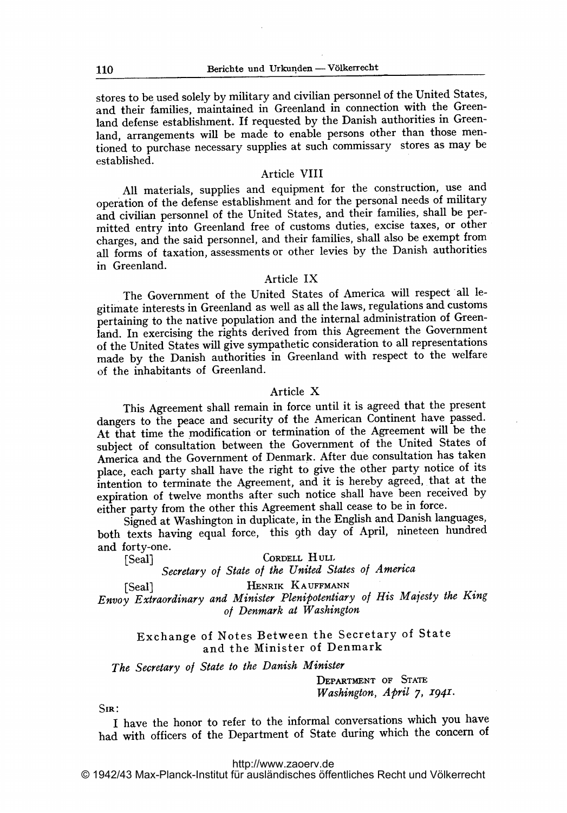stores to be used solely by military and civilian personnel of the United States, and their families, maintained in Greenland in connection with the Greenland defense establishment. If requested by the Danish authorities in Greenland, arrangements will be made to enable persons other than those mentioned to purchase necessary supplies at such commissary stores as may be established.

# Article VIII

All materials, supplies and equipment for the construction, use and operation of the defense establishment and for the personal needs of military and civilian personnel of the United States, and their families, shall be permitted entry into Greenland free of customs duties, excise taxes, or other charges, and the said personnel, and their families, shall also be exempt from all forms of taxation, assessments or other levies by the Danish authorities in Greenland.

#### Article IX

The Government of the United States of America will respect all legitimate interests in Greenland as well as all the laws, regulations and customs pertaining to the native population and the internal administration of Greenland. In exercising the rights derived from this Agreement the Government of the United States will give sympathetic consideration to all representations made by the Danish authorities in Greenland with respect to the welfare of the inhabitants of Greenland.

# Article X

This Agreement shall remain in force until it is agreed that the present dangers to the peace and security of the American Continent have passed. At that time the modification or termination of the Agreement will be the subject of consultation between the Government of the United States of America and the Government of Denmark. After due consultation has taken place, each party shall have the right to give the other party notice of its intention to terminate the Agreement, and it is hereby agreed, that at the expiration of twelve months after such notice shall have been received by either party from the other this Agreement shall cease to be in force.

Signed at Washington in duplicate, in the English and Danish languages, both texts having equal force, this 9th day of April, nineteen hundred and forty-one.

[Seal] CORDELL HULL

Secretary of State of the United States of America

[Seal] **HENRIK KAUFFMANN** 

Envoy Extraordinary and Minister Plenipotentiary of His Majesty the King of Denmark at Washington

Exchange of Notes Between the Secretary of State and the Minister of Denmark

The Secretary of State to the Danish Minister

DEPARTMENT OF STATE Washington, April 7, r94I-

SIR:

<sup>I</sup> have the honor to refer to the informal conversations which you have had with officers of the Department of State during which the concern of

© 1942/43 Max-Planck-Institut für ausländisches öffentliches Recht und Völkerrecht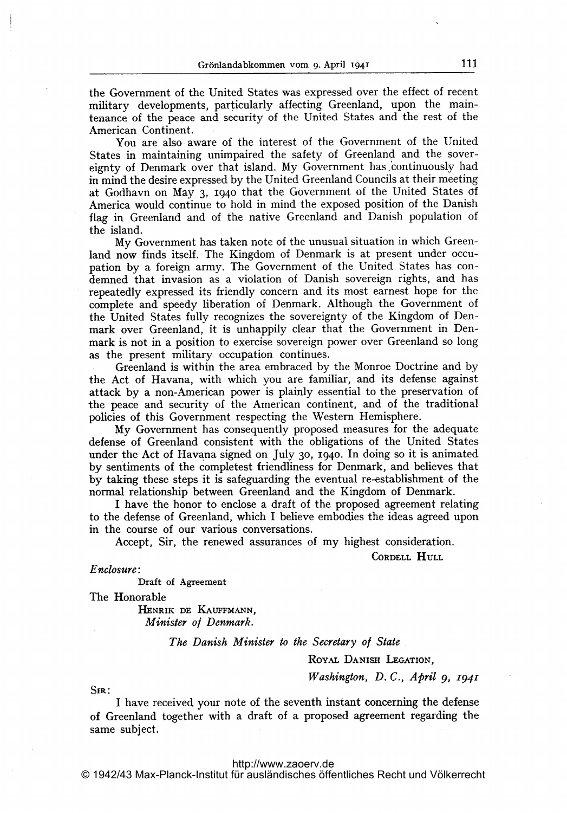the Government of the United States was expressed over the effect of recent military developments, particularly affecting Greenland, upon the maintenance of the peace and security of the United States and the rest of the American Continent.

You are also aware of the interest of the Government of the United States in maintaining unimpaired the safety of Greenland and the sovereignty of Denmark over that island. My Government has continuously had in mind the desire expressed by the United Greenland Councils at their meeting at Godhavn on May 3, <sup>1940</sup> that the Government of the United States of America would continue to hold in mind the exposed position of the Danish flag in Greenland and of the native Greenland and Danish population of the island.

My Government has taken note of the unusual situation in which Greenland now finds itself. The Kingdom of Denmark is at present under occupation by <sup>a</sup> foreign army. The Government of the United States has condemned that invasion as a violation of Danish sovereign rights, and has repeatedly expressed its friendly concern and its most earnest hope for the complete and speedy liberation of Denmark. Although the Government of the United States fully recognizes the sovereignty of the Kingdom of Denmark over Greenland, it is unhappily clear that the Government in Denmark is not in a position to exercise sovereign power over Greenland so long as the present military occupation continues.

Greenland is within the area embraced by the Monroe Doctrine and by the Act of Havana, with which you are familiar, and its defense against attack by a non-American power is plainly essential to the preservation of the peace and security of the American continent, and of the traditional policies of this Government respecting the Western Hemisphere.

My Government has consequently proposed measures for the adequate defense of Greenland consistent with the obligations of the United States under the Act of Havana signed on July 30, 1940. In doing so it is animated by sentiments of the completest friendliness for Denmark, and believes that by taking these steps it is safeguarding the eventual re-establishment of the normal relationship between Greenland and the Kingdom of Denmark.

<sup>I</sup> have the honor to enclose a draft of the proposed agreement relating to the defense of Greenland, which <sup>I</sup> believe embodies the ideas agreed upon in the course of our various conversations.

Accept, Sir, the renewed assurances of my highest consideration.

CORDELL HULL

Enclosure:

Draft of Agreement

The Honorable

HENRIK DE KAUFFMANN, Minister of Denmark.

The Danish Minister to the Secretary of State

ROYAL DANisH LEGATION,

Washington, D. C., April 9, 1941

SIR:

<sup>I</sup> have received your note of the seventh instant concerning the defense of Greenland together with a draft of a proposed agreement regarding the same subject.

© 1942/43 Max-Planck-Institut für ausländisches öffentliches Recht und Völkerrecht